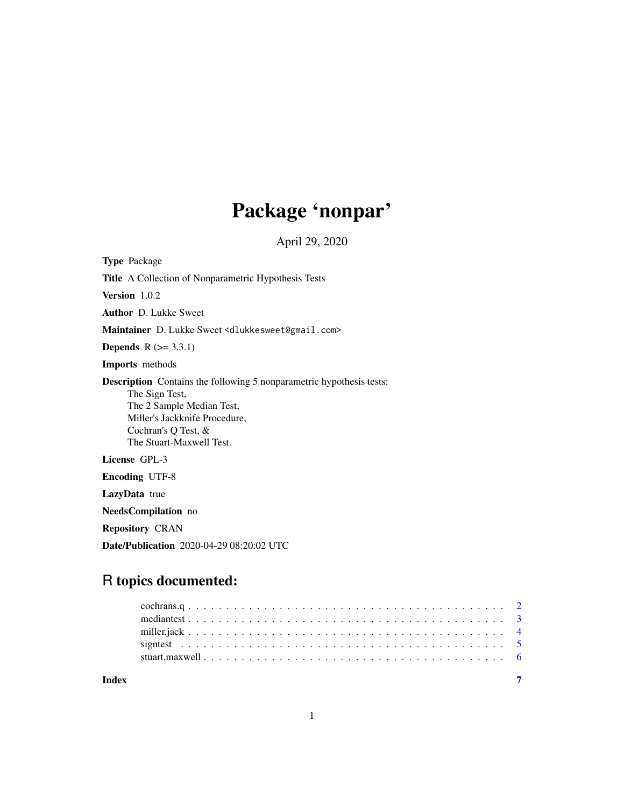# Package 'nonpar'

April 29, 2020

Type Package

Title A Collection of Nonparametric Hypothesis Tests

Version 1.0.2

Author D. Lukke Sweet

Maintainer D. Lukke Sweet <dlukkesweet@gmail.com>

**Depends**  $R$  ( $>= 3.3.1$ )

Imports methods

Description Contains the following 5 nonparametric hypothesis tests: The Sign Test, The 2 Sample Median Test, Miller's Jackknife Procedure, Cochran's Q Test, & The Stuart-Maxwell Test.

# License GPL-3

Encoding UTF-8

LazyData true

NeedsCompilation no

Repository CRAN

Date/Publication 2020-04-29 08:20:02 UTC

# R topics documented:

| Indev |  |
|-------|--|
|       |  |
|       |  |
|       |  |
|       |  |
|       |  |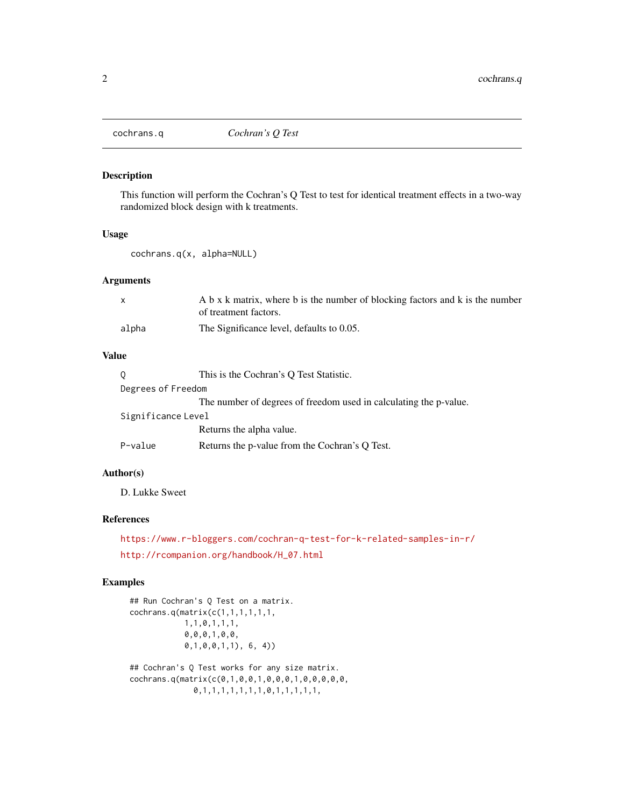<span id="page-1-0"></span>

#### Description

This function will perform the Cochran's Q Test to test for identical treatment effects in a two-way randomized block design with k treatments.

#### Usage

cochrans.q(x, alpha=NULL)

#### Arguments

|       | A b x k matrix, where b is the number of blocking factors and k is the number |
|-------|-------------------------------------------------------------------------------|
|       | of treatment factors.                                                         |
| alpha | The Significance level, defaults to 0.05.                                     |

#### Value

|                    | This is the Cochran's Q Test Statistic.                           |  |
|--------------------|-------------------------------------------------------------------|--|
| Degrees of Freedom |                                                                   |  |
|                    | The number of degrees of freedom used in calculating the p-value. |  |
| Significance Level |                                                                   |  |
|                    | Returns the alpha value.                                          |  |
| P-value            | Returns the p-value from the Cochran's Q Test.                    |  |

#### Author(s)

D. Lukke Sweet

#### References

<https://www.r-bloggers.com/cochran-q-test-for-k-related-samples-in-r/> [http://rcompanion.org/handbook/H\\_07.html](http://rcompanion.org/handbook/H_07.html)

```
## Run Cochran's Q Test on a matrix.
cochrans.q(matrix(c(1,1,1,1,1,1,
           1,1,0,1,1,1,
           0,0,0,1,0,0,
           0,1,0,0,1,1), 6, 4))
## Cochran's Q Test works for any size matrix.
cochrans.q(matrix(c(0,1,0,0,1,0,0,0,1,0,0,0,0,0,
              0,1,1,1,1,1,1,1,0,1,1,1,1,1,
```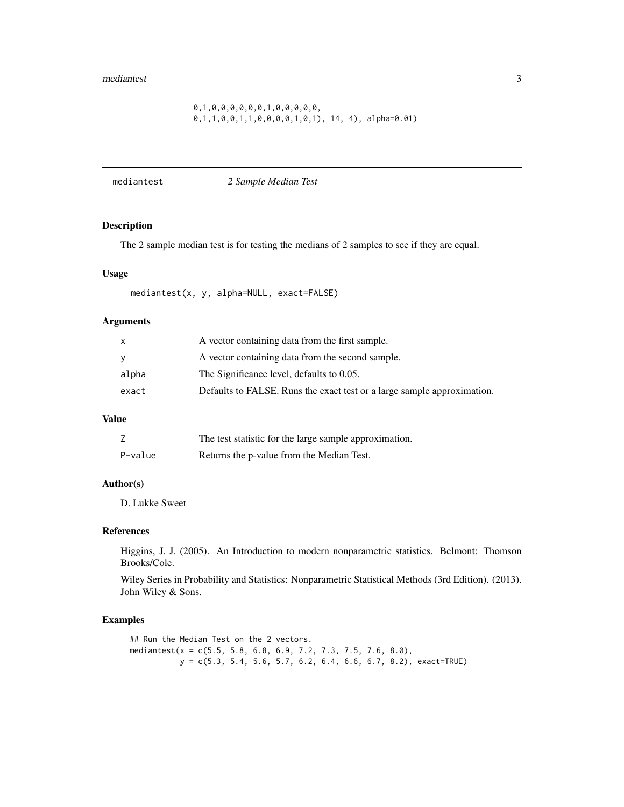#### <span id="page-2-0"></span>0,1,0,0,0,0,0,0,1,0,0,0,0,0, 0,1,1,0,0,1,1,0,0,0,0,1,0,1), 14, 4), alpha=0.01)

mediantest *2 Sample Median Test*

#### Description

The 2 sample median test is for testing the medians of 2 samples to see if they are equal.

#### Usage

mediantest(x, y, alpha=NULL, exact=FALSE)

#### Arguments

|          | A vector containing data from the first sample.                         |
|----------|-------------------------------------------------------------------------|
| <b>V</b> | A vector containing data from the second sample.                        |
| alpha    | The Significance level, defaults to 0.05.                               |
| exact    | Defaults to FALSE. Runs the exact test or a large sample approximation. |

#### Value

|         | The test statistic for the large sample approximation. |
|---------|--------------------------------------------------------|
| P-value | Returns the p-value from the Median Test.              |

#### Author(s)

D. Lukke Sweet

#### References

Higgins, J. J. (2005). An Introduction to modern nonparametric statistics. Belmont: Thomson Brooks/Cole.

Wiley Series in Probability and Statistics: Nonparametric Statistical Methods (3rd Edition). (2013). John Wiley & Sons.

#### Examples

## Run the Median Test on the 2 vectors. mediantest(x = c(5.5, 5.8, 6.8, 6.9, 7.2, 7.3, 7.5, 7.6, 8.0),  $y = c(5.3, 5.4, 5.6, 5.7, 6.2, 6.4, 6.6, 6.7, 8.2), exact=TRUE)$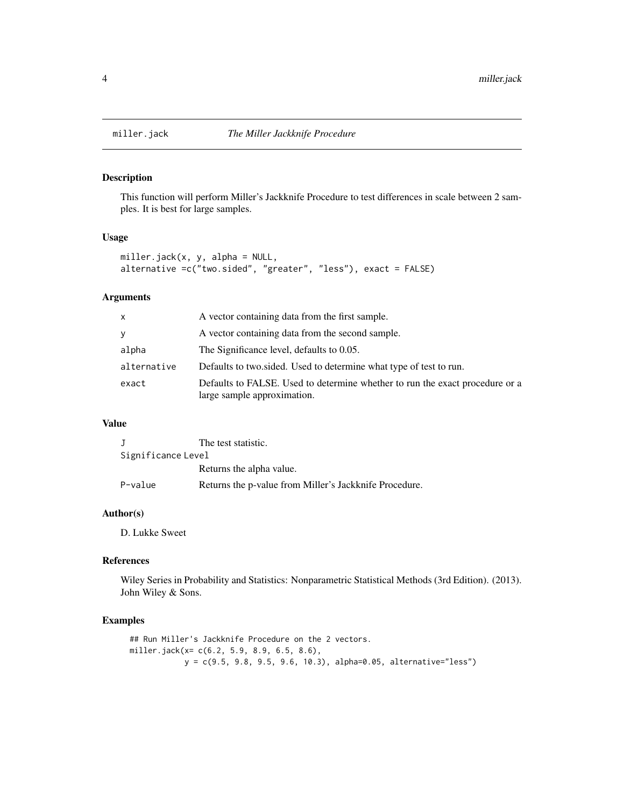<span id="page-3-0"></span>

#### Description

This function will perform Miller's Jackknife Procedure to test differences in scale between 2 samples. It is best for large samples.

#### Usage

```
miller.jack(x, y, alpha = NULL,
alternative =c("two.sided", "greater", "less"), exact = FALSE)
```
#### Arguments

| x           | A vector containing data from the first sample.                                                             |
|-------------|-------------------------------------------------------------------------------------------------------------|
| У           | A vector containing data from the second sample.                                                            |
| alpha       | The Significance level, defaults to 0.05.                                                                   |
| alternative | Defaults to two sided. Used to determine what type of test to run.                                          |
| exact       | Defaults to FALSE. Used to determine whether to run the exact procedure or a<br>large sample approximation. |

#### Value

|                    | The test statistic.                                    |  |
|--------------------|--------------------------------------------------------|--|
| Significance Level |                                                        |  |
|                    | Returns the alpha value.                               |  |
| P-value            | Returns the p-value from Miller's Jackknife Procedure. |  |

#### Author(s)

D. Lukke Sweet

# References

Wiley Series in Probability and Statistics: Nonparametric Statistical Methods (3rd Edition). (2013). John Wiley & Sons.

```
## Run Miller's Jackknife Procedure on the 2 vectors.
miller.jack(x= c(6.2, 5.9, 8.9, 6.5, 8.6),
           y = c(9.5, 9.8, 9.5, 9.6, 10.3), alpha=0.05, alternative="less")
```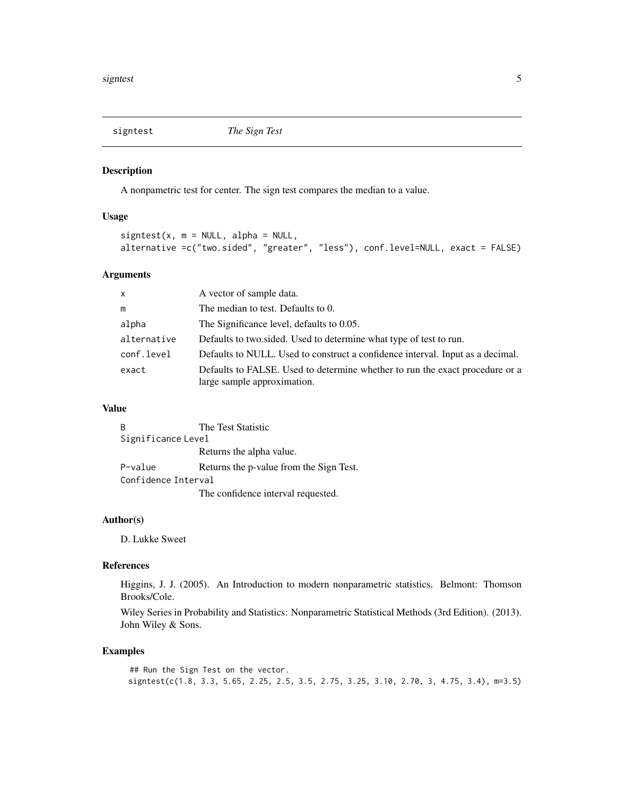<span id="page-4-0"></span>

#### Description

A nonpametric test for center. The sign test compares the median to a value.

#### Usage

```
signtest(x, m = NULL, alpha = NULL,alternative =c("two.sided", "greater", "less"), conf.level=NULL, exact = FALSE)
```
#### Arguments

| $\mathsf{X}$ | A vector of sample data.                                                                                    |
|--------------|-------------------------------------------------------------------------------------------------------------|
| m            | The median to test. Defaults to 0.                                                                          |
| alpha        | The Significance level, defaults to 0.05.                                                                   |
| alternative  | Defaults to two sided. Used to determine what type of test to run.                                          |
| conf.level   | Defaults to NULL. Used to construct a confidence interval. Input as a decimal.                              |
| exact        | Defaults to FALSE. Used to determine whether to run the exact procedure or a<br>large sample approximation. |

#### Value

|                     | The Test Statistic                      |  |
|---------------------|-----------------------------------------|--|
| Significance Level  |                                         |  |
|                     | Returns the alpha value.                |  |
| P-value             | Returns the p-value from the Sign Test. |  |
| Confidence Interval |                                         |  |
|                     | The confidence interval requested.      |  |

#### Author(s)

D. Lukke Sweet

# References

Higgins, J. J. (2005). An Introduction to modern nonparametric statistics. Belmont: Thomson Brooks/Cole.

Wiley Series in Probability and Statistics: Nonparametric Statistical Methods (3rd Edition). (2013). John Wiley & Sons.

```
## Run the Sign Test on the vector.
signtest(c(1.8, 3.3, 5.65, 2.25, 2.5, 3.5, 2.75, 3.25, 3.10, 2.70, 3, 4.75, 3.4), m=3.5)
```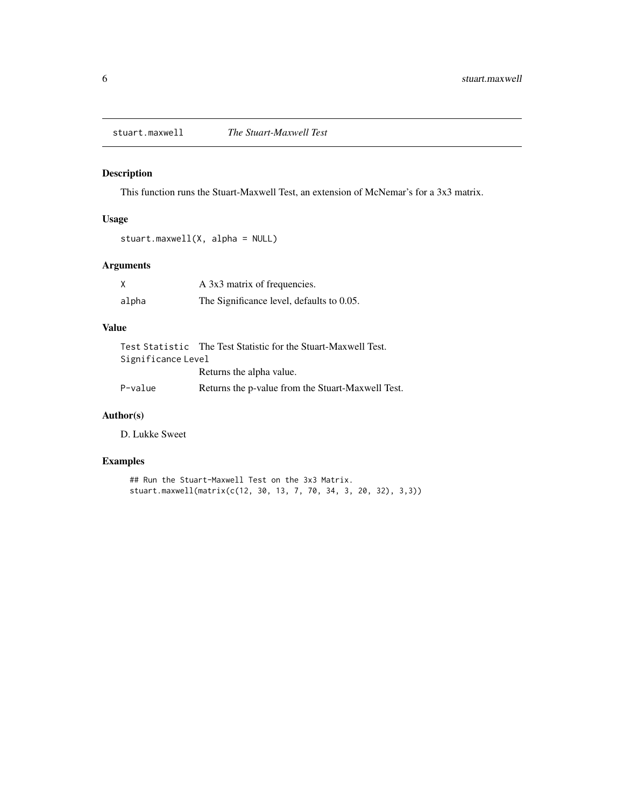<span id="page-5-0"></span>stuart.maxwell *The Stuart-Maxwell Test*

#### Description

This function runs the Stuart-Maxwell Test, an extension of McNemar's for a 3x3 matrix.

# Usage

```
stuart.maxwell(X, alpha = NULL)
```
# Arguments

|       | A 3x3 matrix of frequencies.              |
|-------|-------------------------------------------|
| alpha | The Significance level, defaults to 0.05. |

# Value

|                    | Test Statistic The Test Statistic for the Stuart-Maxwell Test. |  |
|--------------------|----------------------------------------------------------------|--|
| Significance Level |                                                                |  |
|                    | Returns the alpha value.                                       |  |
| P-value            | Returns the p-value from the Stuart-Maxwell Test.              |  |

# Author(s)

D. Lukke Sweet

```
## Run the Stuart-Maxwell Test on the 3x3 Matrix.
stuart.maxwell(matrix(c(12, 30, 13, 7, 70, 34, 3, 20, 32), 3,3))
```